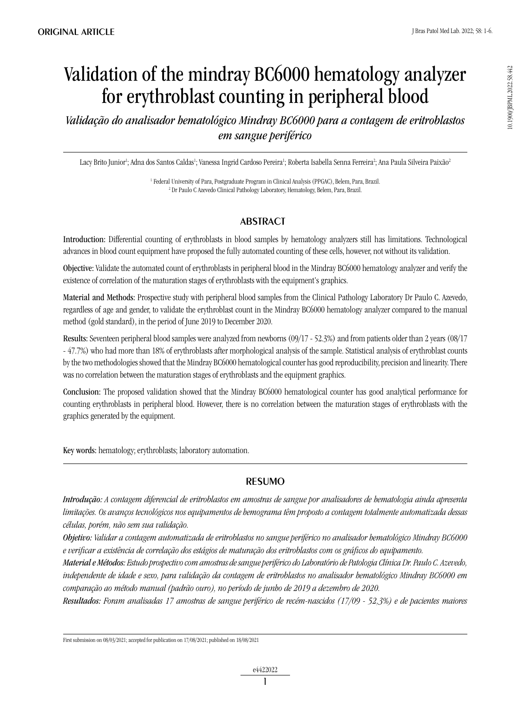0.1900/JBPML2022.58.442 10.1900/JBPML.2022.58.442

# Validation of the mindray BC6000 hematology analyzer for erythroblast counting in peripheral blood

*Validação do analisador hematológico Mindray BC6000 para a contagem de eritroblastos em sangue periférico*

Lacy Brito Junior<sup>ı</sup>; Adna dos Santos Caldas<sup>ı</sup>; Vanessa Ingrid Cardoso Pereira<sup>1</sup>; Roberta Isabella Senna Ferreira<sup>2</sup>; Ana Paula Silveira Paixão<sup>2</sup>

<sup>1</sup> Federal University of Para, Postgraduate Program in Clinical Analysis (PPGAC), Belem, Para, Brazil. 2 Dr Paulo C Azevedo Clinical Pathology Laboratory, Hematology, Belem, Para, Brazil.

# **ABSTRACT**

Introduction: Differential counting of erythroblasts in blood samples by hematology analyzers still has limitations. Technological advances in blood count equipment have proposed the fully automated counting of these cells, however, not without its validation.

Objective: Validate the automated count of erythroblasts in peripheral blood in the Mindray BC6000 hematology analyzer and verify the existence of correlation of the maturation stages of erythroblasts with the equipment's graphics.

Material and Methods: Prospective study with peripheral blood samples from the Clinical Pathology Laboratory Dr Paulo C. Azevedo, regardless of age and gender, to validate the erythroblast count in the Mindray BC6000 hematology analyzer compared to the manual method (gold standard), in the period of June 2019 to December 2020.

Results: Seventeen peripheral blood samples were analyzed from newborns (09/17 - 52.3%) and from patients older than 2 years (08/17 - 47.7%) who had more than 18% of erythroblasts after morphological analysis of the sample. Statistical analysis of erythroblast counts by the two methodologies showed that the Mindray BC6000 hematological counter has good reproducibility, precision and linearity. There was no correlation between the maturation stages of erythroblasts and the equipment graphics.

Conclusion: The proposed validation showed that the Mindray BC6000 hematological counter has good analytical performance for counting erythroblasts in peripheral blood. However, there is no correlation between the maturation stages of erythroblasts with the graphics generated by the equipment.

Key words: hematology; erythroblasts; laboratory automation.

## resumo

*Introdução: A contagem diferencial de eritroblastos em amostras de sangue por analisadores de hematologia ainda apresenta limitações. Os avanços tecnológicos nos equipamentos de hemograma têm proposto a contagem totalmente automatizada dessas células, porém, não sem sua validação.*

*Objetivo: Validar a contagem automatizada de eritroblastos no sangue periférico no analisador hematológico Mindray BC6000 e verificar a existência de correlação dos estágios de maturação dos eritroblastos com os gráficos do equipamento.*

*Material e Métodos: Estudo prospectivo com amostras de sangue periférico do Laboratório de Patologia Clínica Dr. Paulo C. Azevedo, independente de idade e sexo, para validação da contagem de eritroblastos no analisador hematológico Mindray BC6000 em comparação ao método manual (padrão ouro), no período de junho de 2019 a dezembro de 2020.*

*Resultados: Foram analisadas 17 amostras de sangue periférico de recém-nascidos (17/09 - 52,3%) e de pacientes maiores* 

First submission on 08/03/2021; accepted for publication on 17/08/2021; published on 18/08/2021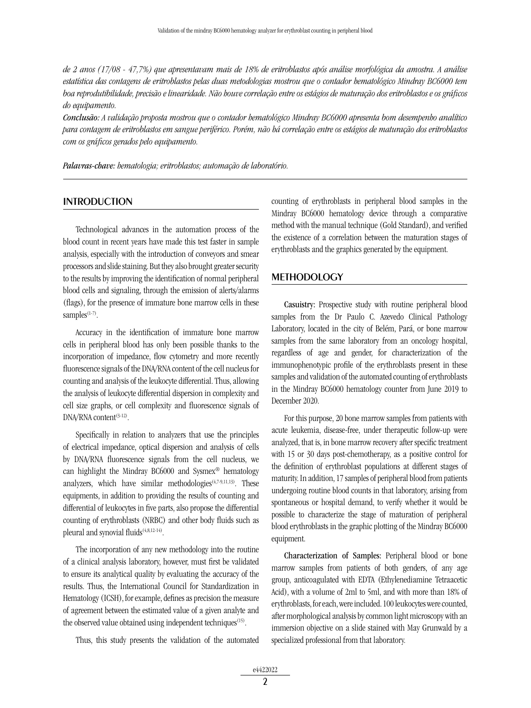*de 2 anos (17/08 - 47,7%) que apresentavam mais de 18% de eritroblastos após análise morfológica da amostra. A análise estatística das contagens de eritroblastos pelas duas metodologias mostrou que o contador hematológico Mindray BC6000 tem boa reprodutibilidade, precisão e linearidade. Não houve correlação entre os estágios de maturação dos eritroblastos e os gráficos do equipamento.*

*Conclusão: A validação proposta mostrou que o contador hematológico Mindray BC6000 apresenta bom desempenho analítico para contagem de eritroblastos em sangue periférico. Porém, não há correlação entre os estágios de maturação dos eritroblastos com os gráficos gerados pelo equipamento.*

*Palavras-chave: hematologia; eritroblastos; automação de laboratório.*

## **INTRODUCTION**

Technological advances in the automation process of the blood count in recent years have made this test faster in sample analysis, especially with the introduction of conveyors and smear processors and slide staining. But they also brought greater security to the results by improving the identification of normal peripheral blood cells and signaling, through the emission of alerts/alarms (flags), for the presence of immature bone marrow cells in these samples $(1-7)$ .

Accuracy in the identification of immature bone marrow cells in peripheral blood has only been possible thanks to the incorporation of impedance, flow cytometry and more recently fluorescence signals of the DNA/RNA content of the cell nucleus for counting and analysis of the leukocyte differential. Thus, allowing the analysis of leukocyte differential dispersion in complexity and cell size graphs, or cell complexity and fluorescence signals of DNA/RNA content<sup>(3-12)</sup>.

Specifically in relation to analyzers that use the principles of electrical impedance, optical dispersion and analysis of cells by DNA/RNA fluorescence signals from the cell nucleus, we can highlight the Mindray BC6000 and Sysmex® hematology analyzers, which have similar methodologies<sup>(4,7-9,11,13)</sup>. These equipments, in addition to providing the results of counting and differential of leukocytes in five parts, also propose the differential counting of erythroblasts (NRBC) and other body fluids such as pleural and synovial fluids<sup>(4,8,12-14)</sup>.

The incorporation of any new methodology into the routine of a clinical analysis laboratory, however, must first be validated to ensure its analytical quality by evaluating the accuracy of the results. Thus, the International Council for Standardization in Hematology (ICSH), for example, defines as precision the measure of agreement between the estimated value of a given analyte and the observed value obtained using independent techniques<sup>(15)</sup>.

Thus, this study presents the validation of the automated

counting of erythroblasts in peripheral blood samples in the Mindray BC6000 hematology device through a comparative method with the manual technique (Gold Standard), and verified the existence of a correlation between the maturation stages of erythroblasts and the graphics generated by the equipment.

## METHODOLOGY

Casuistry: Prospective study with routine peripheral blood samples from the Dr Paulo C. Azevedo Clinical Pathology Laboratory, located in the city of Belém, Pará, or bone marrow samples from the same laboratory from an oncology hospital, regardless of age and gender, for characterization of the immunophenotypic profile of the erythroblasts present in these samples and validation of the automated counting of erythroblasts in the Mindray BC6000 hematology counter from June 2019 to December 2020.

For this purpose, 20 bone marrow samples from patients with acute leukemia, disease-free, under therapeutic follow-up were analyzed, that is, in bone marrow recovery after specific treatment with 15 or 30 days post-chemotherapy, as a positive control for the definition of erythroblast populations at different stages of maturity. In addition, 17 samples of peripheral blood from patients undergoing routine blood counts in that laboratory, arising from spontaneous or hospital demand, to verify whether it would be possible to characterize the stage of maturation of peripheral blood erythroblasts in the graphic plotting of the Mindray BC6000 equipment.

Characterization of Samples: Peripheral blood or bone marrow samples from patients of both genders, of any age group, anticoagulated with EDTA (Ethylenediamine Tetraacetic Acid), with a volume of 2ml to 5ml, and with more than 18% of erythroblasts, for each, were included. 100 leukocytes were counted, after morphological analysis by common light microscopy with an immersion objective on a slide stained with May Grunwald by a specialized professional from that laboratory.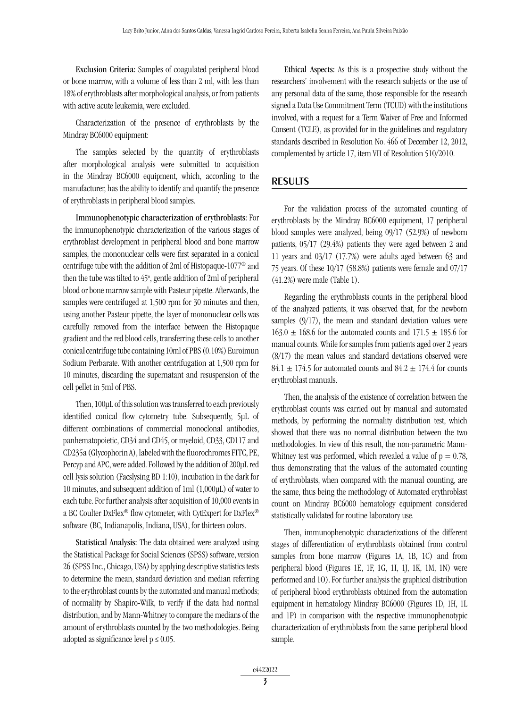Exclusion Criteria: Samples of coagulated peripheral blood or bone marrow, with a volume of less than 2 ml, with less than 18% of erythroblasts after morphological analysis, or from patients with active acute leukemia, were excluded.

Characterization of the presence of erythroblasts by the Mindray BC6000 equipment:

The samples selected by the quantity of erythroblasts after morphological analysis were submitted to acquisition in the Mindray BC6000 equipment, which, according to the manufacturer, has the ability to identify and quantify the presence of erythroblasts in peripheral blood samples.

Immunophenotypic characterization of erythroblasts: For the immunophenotypic characterization of the various stages of erythroblast development in peripheral blood and bone marrow samples, the mononuclear cells were first separated in a conical centrifuge tube with the addition of 2ml of Histopaque-1077® and then the tube was tilted to 45°, gentle addition of 2ml of peripheral blood or bone marrow sample with Pasteur pipette. Afterwards, the samples were centrifuged at 1,500 rpm for 30 minutes and then, using another Pasteur pipette, the layer of mononuclear cells was carefully removed from the interface between the Histopaque gradient and the red blood cells, transferring these cells to another conical centrifuge tube containing 10ml of PBS (0.10%) Euroimun Sodium Perbarate. With another centrifugation at 1,500 rpm for 10 minutes, discarding the supernatant and resuspension of the cell pellet in 5ml of PBS.

Then, 100µL of this solution was transferred to each previously identified conical flow cytometry tube. Subsequently, 5µL of different combinations of commercial monoclonal antibodies, panhematopoietic, CD34 and CD45, or myeloid, CD33, CD117 and CD235a (Glycophorin A), labeled with the fluorochromes FITC, PE, Percyp and APC, were added. Followed by the addition of 200µL red cell lysis solution (Facslysing BD 1:10), incubation in the dark for 10 minutes, and subsequent addition of 1ml (1,000µL) of water to each tube. For further analysis after acquisition of 10,000 events in a BC Coulter DxFlex® flow cytometer, with CytExpert for DxFlex® software (BC, Indianapolis, Indiana, USA), for thirteen colors.

Statistical Analysis: The data obtained were analyzed using the Statistical Package for Social Sciences (SPSS) software, version 26 (SPSS Inc., Chicago, USA) by applying descriptive statistics tests to determine the mean, standard deviation and median referring to the erythroblast counts by the automated and manual methods; of normality by Shapiro-Wilk, to verify if the data had normal distribution, and by Mann-Whitney to compare the medians of the amount of erythroblasts counted by the two methodologies. Being adopted as significance level  $p \leq 0.05$ .

Ethical Aspects: As this is a prospective study without the researchers' involvement with the research subjects or the use of any personal data of the same, those responsible for the research signed a Data Use Commitment Term (TCUD) with the institutions involved, with a request for a Term Waiver of Free and Informed Consent (TCLE), as provided for in the guidelines and regulatory standards described in Resolution No. 466 of December 12, 2012, complemented by article 17, item VII of Resolution 510/2010.

## RESULTS

For the validation process of the automated counting of erythroblasts by the Mindray BC6000 equipment, 17 peripheral blood samples were analyzed, being 09/17 (52.9%) of newborn patients, 05/17 (29.4%) patients they were aged between 2 and 11 years and 03/17 (17.7%) were adults aged between 63 and 75 years. Of these 10/17 (58.8%) patients were female and 07/17 (41.2%) were male (Table 1).

Regarding the erythroblasts counts in the peripheral blood of the analyzed patients, it was observed that, for the newborn samples (9/17), the mean and standard deviation values were  $163.0 \pm 168.6$  for the automated counts and  $171.5 \pm 185.6$  for manual counts. While for samples from patients aged over 2 years (8/17) the mean values and standard deviations observed were  $84.1 \pm 174.5$  for automated counts and  $84.2 \pm 174.4$  for counts erythroblast manuals.

Then, the analysis of the existence of correlation between the erythroblast counts was carried out by manual and automated methods, by performing the normality distribution test, which showed that there was no normal distribution between the two methodologies. In view of this result, the non-parametric Mann-Whitney test was performed, which revealed a value of  $p = 0.78$ , thus demonstrating that the values of the automated counting of erythroblasts, when compared with the manual counting, are the same, thus being the methodology of Automated erythroblast count on Mindray BC6000 hematology equipment considered statistically validated for routine laboratory use.

Then, immunophenotypic characterizations of the different stages of differentiation of erythroblasts obtained from control samples from bone marrow (Figures 1A, 1B, 1C) and from peripheral blood (Figures 1E, 1F, 1G, 1I, 1J, 1K, 1M, 1N) were performed and 1O). For further analysis the graphical distribution of peripheral blood erythroblasts obtained from the automation equipment in hematology Mindray BC6000 (Figures 1D, 1H, 1L and 1P) in comparison with the respective immunophenotypic characterization of erythroblasts from the same peripheral blood sample.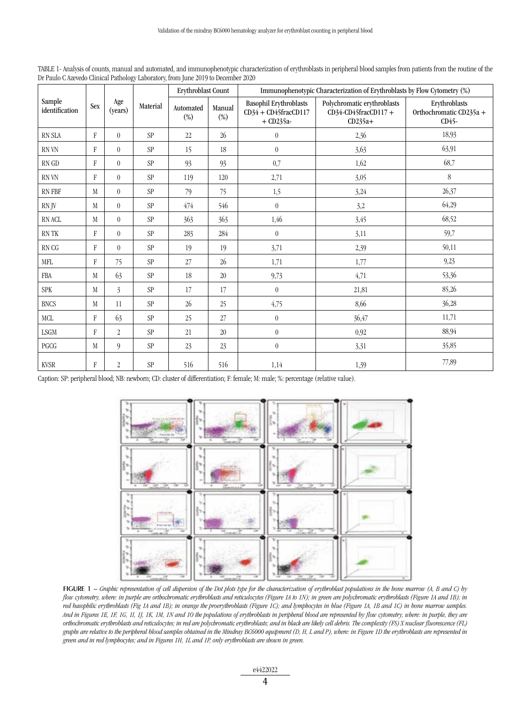| Sample<br>identification | Sex        | Age<br>(years) | Material  | Erythroblast Count |                  | Immunophenotypic Characterization of Erythroblasts by Flow Cytometry (%)   |                                                                    |                                                   |  |
|--------------------------|------------|----------------|-----------|--------------------|------------------|----------------------------------------------------------------------------|--------------------------------------------------------------------|---------------------------------------------------|--|
|                          |            |                |           | Automated<br>(%)   | Manual<br>$(\%)$ | <b>Basophil Erythroblasts</b><br>$CD34 + CD45$ frac $CD117$<br>$+$ CD235a- | Polychromatic erythroblasts<br>$CD34$ -CD45fracCD117+<br>$CD235a+$ | Erythroblasts<br>Orthochromatic CD235a +<br>CD45- |  |
| <b>RN SLA</b>            | $_{\rm F}$ | $\theta$       | SP        | 22                 | 26               | $\boldsymbol{0}$                                                           | 2,36                                                               | 18,93                                             |  |
| RN VN                    | F          | $\theta$       | SP        | 15                 | 18               | $\boldsymbol{0}$                                                           | 3,63                                                               | 63,91                                             |  |
| RN GD                    | F          | $\overline{0}$ | SP        | 93                 | 93               | 0,7                                                                        | 1,62                                                               | 68,7                                              |  |
| RN VN                    | ${\bf F}$  | $\overline{0}$ | SP        | 119                | 120              | 2,71                                                                       | 3,05                                                               | 8                                                 |  |
| <b>RN FBF</b>            | M          | $\overline{0}$ | SP        | 79                 | 75               | 1,5                                                                        | 3,24                                                               | 26,37                                             |  |
| RN JV                    | M          | $\overline{0}$ | SP        | 474                | 546              | $\boldsymbol{0}$<br>3,2                                                    |                                                                    | 64,29                                             |  |
| RN ACL                   | M          | $\theta$       | SP        | 363                | 363              | 1,46                                                                       | 3,45                                                               | 68,52                                             |  |
| RN TK                    | F          | $\theta$       | SP        | 283                | 284              | $\boldsymbol{0}$                                                           | 3,11                                                               | 59,7                                              |  |
| RN CG                    | F          | $\theta$       | SP        | 19                 | 19               | 3,71                                                                       | 2,39                                                               | 50,11                                             |  |
| <b>MFL</b>               | F          | 75             | <b>SP</b> | 27                 | 26               | 1,71                                                                       | 1,77                                                               | 9,23                                              |  |
| FBA                      | M          | 63             | SP        | 18                 | 20               | 9,73                                                                       | 4,71                                                               | 53,36                                             |  |
| <b>SPK</b>               | M          | $\overline{3}$ | SP        | 17                 | 17               | $\boldsymbol{0}$                                                           | 21,81                                                              | 85,26                                             |  |
| <b>BNCS</b>              | M          | 11             | <b>SP</b> | 26                 | 25               | 4,75                                                                       | 8,66                                                               | 36,28                                             |  |
| $\rm MCL$                | F          | 63             | SP        | 25                 | 27               | $\boldsymbol{0}$                                                           | 36,47                                                              | 11,71                                             |  |
| <b>LSGM</b>              | F          | $\overline{2}$ | SP        | 21                 | 20               | $\theta$                                                                   | 0,92                                                               | 88,94                                             |  |
| PGCG                     | M          | 9              | SP        | 23                 | 23               | $\overline{0}$                                                             | 3,31                                                               | 35,85                                             |  |
| <b>KVSR</b>              | F          | $\overline{2}$ | SP        | 516                | 516              | 1,14                                                                       | 1,39                                                               | 77,89                                             |  |

TABLE 1- Analysis of counts, manual and automated, and immunophenotypic characterization of erythroblasts in peripheral blood samples from patients from the routine of the Dr Paulo C Azevedo Clinical Pathology Laboratory, from June 2019 to December 2020

Caption: SP: peripheral blood; NB: newborn; CD: cluster of differentiation; F: female; M: male; %: percentage (relative value).



FIGURE 1 – *Graphic representation of cell dispersion of the Dot plots type for the characterization of erythroblast populations in the bone marrow (A, B and C) by flow cytometry, where: in purple are orthochromatic erythroblasts and reticulocytes (Figure 1A to 1N); in green are polychromatic erythroblasts (Figure 1A and 1B); in red basophilic erythroblasts (Fig 1A and 1B); in orange the proerythroblasts (Figure 1C); and lymphocytes in blue (Figure 1A, 1B and 1C) in bone marrow samples. And in Figures 1E, 1F, 1G, 1I, 1J, 1K, 1M, 1N and 1O the populations of erythroblasts in peripheral blood are represented by flow cytometry, where: in purple, they are orthochromatic erythroblasts and reticulocytes; in red are polychromatic erythroblasts; and in black are likely cell debris. The complexity (FS) X nuclear fluorescence (FL) graphs are relative to the peripheral blood samples obtained in the Mindray BC6000 equipment (D, H, L and P), where: in Figure 1D the erythroblasts are represented in green and in red lymphocytes; and in Figures 1H, 1L and 1P, only erythroblasts are shown in green.*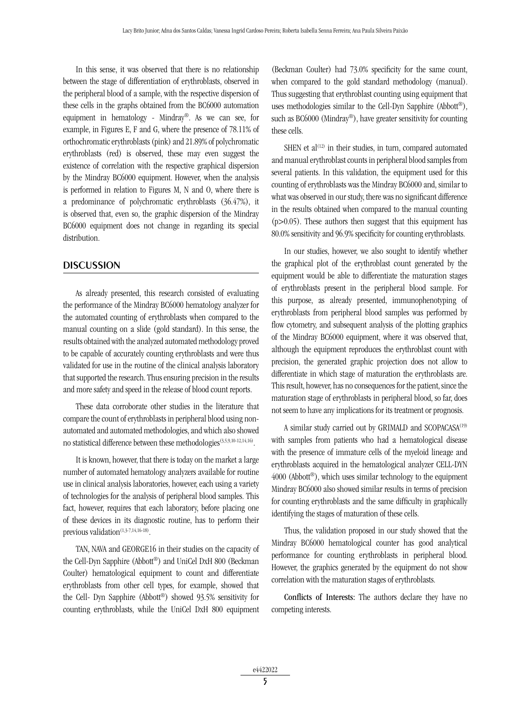In this sense, it was observed that there is no relationship between the stage of differentiation of erythroblasts, observed in the peripheral blood of a sample, with the respective dispersion of these cells in the graphs obtained from the BC6000 automation equipment in hematology - Mindray®. As we can see, for example, in Figures E, F and G, where the presence of 78.11% of orthochromatic erythroblasts (pink) and 21.89% of polychromatic erythroblasts (red) is observed, these may even suggest the existence of correlation with the respective graphical dispersion by the Mindray BC6000 equipment. However, when the analysis is performed in relation to Figures M, N and O, where there is a predominance of polychromatic erythroblasts (36.47%), it is observed that, even so, the graphic dispersion of the Mindray BC6000 equipment does not change in regarding its special distribution.

## **DISCUSSION**

As already presented, this research consisted of evaluating the performance of the Mindray BC6000 hematology analyzer for the automated counting of erythroblasts when compared to the manual counting on a slide (gold standard). In this sense, the results obtained with the analyzed automated methodology proved to be capable of accurately counting erythroblasts and were thus validated for use in the routine of the clinical analysis laboratory that supported the research. Thus ensuring precision in the results and more safety and speed in the release of blood count reports.

These data corroborate other studies in the literature that compare the count of erythroblasts in peripheral blood using nonautomated and automated methodologies, and which also showed no statistical difference between these methodologies<sup>(3,5,9,10-12,14,16)</sup>.

It is known, however, that there is today on the market a large number of automated hematology analyzers available for routine use in clinical analysis laboratories, however, each using a variety of technologies for the analysis of peripheral blood samples. This fact, however, requires that each laboratory, before placing one of these devices in its diagnostic routine, has to perform their previous validation<sup>(1,3-7,14,16-18)</sup>.

TAN, NAVA and GEORGE16 in their studies on the capacity of the Cell-Dyn Sapphire (Abbott®) and UniCel DxH 800 (Beckman Coulter) hematological equipment to count and differentiate erythroblasts from other cell types, for example, showed that the Cell- Dyn Sapphire (Abbott®) showed 93.5% sensitivity for counting erythroblasts, while the UniCel DxH 800 equipment

(Beckman Coulter) had 73.0% specificity for the same count, when compared to the gold standard methodology (manual). Thus suggesting that erythroblast counting using equipment that uses methodologies similar to the Cell-Dyn Sapphire (Abbott®), such as BC6000 (Mindray®), have greater sensitivity for counting these cells.

SHEN et al $^{(12)}$  in their studies, in turn, compared automated and manual erythroblast counts in peripheral blood samples from several patients. In this validation, the equipment used for this counting of erythroblasts was the Mindray BC6000 and, similar to what was observed in our study, there was no significant difference in the results obtained when compared to the manual counting (p>0.05). These authors then suggest that this equipment has 80.0% sensitivity and 96.9% specificity for counting erythroblasts.

In our studies, however, we also sought to identify whether the graphical plot of the erythroblast count generated by the equipment would be able to differentiate the maturation stages of erythroblasts present in the peripheral blood sample. For this purpose, as already presented, immunophenotyping of erythroblasts from peripheral blood samples was performed by flow cytometry, and subsequent analysis of the plotting graphics of the Mindray BC6000 equipment, where it was observed that, although the equipment reproduces the erythroblast count with precision, the generated graphic projection does not allow to differentiate in which stage of maturation the erythroblasts are. This result, however, has no consequences for the patient, since the maturation stage of erythroblasts in peripheral blood, so far, does not seem to have any implications for its treatment or prognosis.

A similar study carried out by GRIMALD and SCOPACASA<sup>(19)</sup> with samples from patients who had a hematological disease with the presence of immature cells of the myeloid lineage and erythroblasts acquired in the hematological analyzer CELL-DYN 4000 (Abbott®), which uses similar technology to the equipment Mindray BC6000 also showed similar results in terms of precision for counting erythroblasts and the same difficulty in graphically identifying the stages of maturation of these cells.

Thus, the validation proposed in our study showed that the Mindray BC6000 hematological counter has good analytical performance for counting erythroblasts in peripheral blood. However, the graphics generated by the equipment do not show correlation with the maturation stages of erythroblasts.

Conflicts of Interests: The authors declare they have no competing interests.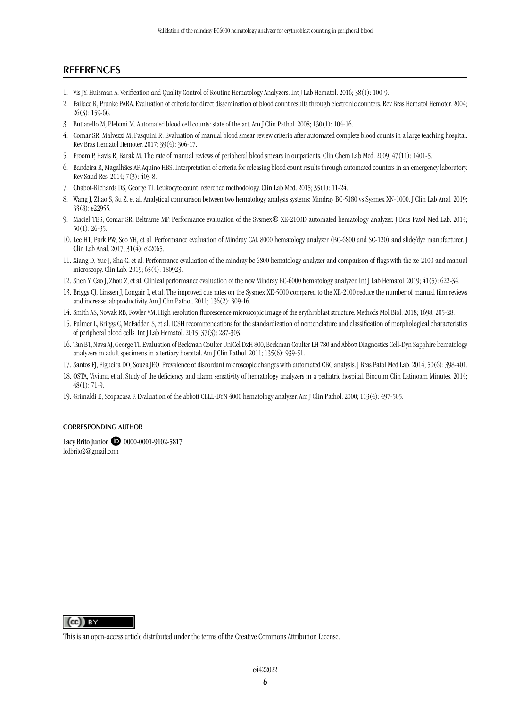## **REFERENCES**

- 1. Vis JY, Huisman A. Verification and Quality Control of Routine Hematology Analyzers. Int J Lab Hematol. 2016; 38(1): 100-9.
- 2. Failace R, Pranke PARA. Evaluation of criteria for direct dissemination of blood count results through electronic counters. Rev Bras Hematol Hemoter. 2004;  $26(3): 159-66$
- 3. Buttarello M, Plebani M. Automated blood cell counts: state of the art. Am J Clin Pathol. 2008; 130(1): 104-16.
- 4. Comar SR, Malvezzi M, Pasquini R. Evaluation of manual blood smear review criteria after automated complete blood counts in a large teaching hospital. Rev Bras Hematol Hemoter. 2017; 39(4): 306-17.
- 5. Froom P, Havis R, Barak M. The rate of manual reviews of peripheral blood smears in outpatients. Clin Chem Lab Med. 2009; 47(11): 1401-5.
- 6. Bandeira R, Magalhães AF, Aquino HBS. Interpretation of criteria for releasing blood count results through automated counters in an emergency laboratory. Rev Saud Res. 2014; 7(3): 403-8.
- 7. Chabot-Richards DS, George TI. Leukocyte count: reference methodology. Clin Lab Med. 2015; 35(1): 11-24.
- 8. Wang J, Zhao S, Su Z, et al. Analytical comparison between two hematology analysis systems: Mindray BC-5180 vs Sysmex XN-1000. J Clin Lab Anal. 2019; 33(8): e22955.
- 9. Maciel TES, Comar SR, Beltrame MP. Performance evaluation of the Sysmex® XE-2100D automated hematology analyzer. J Bras Patol Med Lab. 2014; 50(1): 26-35.
- 10. Lee HT, Park PW, Seo YH, et al. Performance evaluation of Mindray CAL 8000 hematology analyzer (BC-6800 and SC-120) and slide/dye manufacturer. J Clin Lab Anal. 2017; 31(4): e22065.
- 11. Xiang D, Yue J, Sha C, et al. Performance evaluation of the mindray bc 6800 hematology analyzer and comparison of flags with the xe-2100 and manual microscopy. Clin Lab. 2019; 65(4): 180923.
- 12. Shen Y, Cao J, Zhou Z, et al. Clinical performance evaluation of the new Mindray BC-6000 hematology analyzer. Int J Lab Hematol. 2019; 41(5): 622-34.
- 13. Briggs CJ, Linssen J, Longair I, et al. The improved cue rates on the Sysmex XE-5000 compared to the XE-2100 reduce the number of manual film reviews and increase lab productivity. Am J Clin Pathol. 2011; 136(2): 309-16.
- 14. Smith AS, Nowak RB, Fowler VM. High resolution fluorescence microscopic image of the erythroblast structure. Methods Mol Biol. 2018; 1698: 205-28.
- 15. Palmer L, Briggs C, McFadden S, et al. ICSH recommendations for the standardization of nomenclature and classification of morphological characteristics of peripheral blood cells. Int J Lab Hematol. 2015; 37(3): 287-303.
- 16. Tan BT, Nava AJ, George TI. Evaluation of Beckman Coulter UniCel DxH 800, Beckman Coulter LH 780 and Abbott Diagnostics Cell-Dyn Sapphire hematology analyzers in adult specimens in a tertiary hospital. Am J Clin Pathol. 2011; 135(6): 939-51.
- 17. Santos FJ, Figueira DO, Souza JEO. Prevalence of discordant microscopic changes with automated CBC analysis. J Bras Patol Med Lab. 2014; 50(6): 398-401.
- 18. OSTA, Viviana et al. Study of the deficiency and alarm sensitivity of hematology analyzers in a pediatric hospital. Bioquim Clin Latinoam Minutes. 2014; 48(1): 71-9.
- 19. Grimaldi E, Scopacasa F. Evaluation of the abbott CELL-DYN 4000 hematology analyzer. Am J Clin Pathol. 2000; 113(4): 497-505.

#### Corresponding author

Lacy Brito Junior **10** 0000-0001-9102-5817 lcdbrito2@gmail.com



This is an open-access article distributed under the terms of the Creative Commons Attribution License.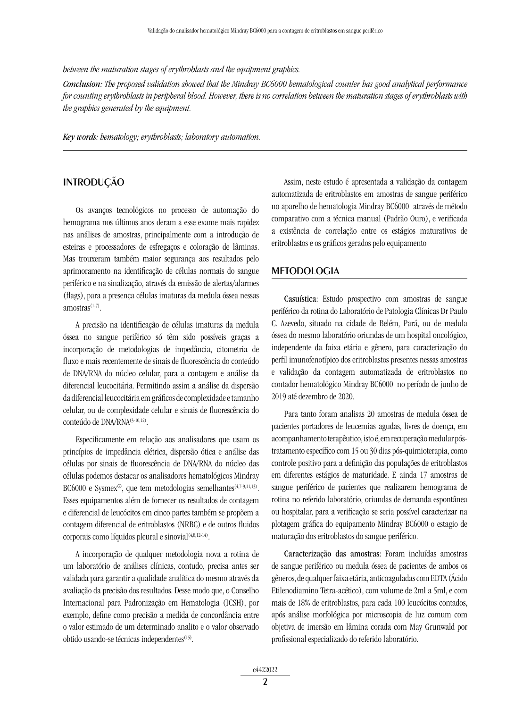*between the maturation stages of erythroblasts and the equipment graphics.*

*Conclusion: The proposed validation showed that the Mindray BC6000 hematological counter has good analytical performance for counting erythroblasts in peripheral blood. However, there is no correlation between the maturation stages of erythroblasts with the graphics generated by the equipment.*

*Key words: hematology; erythroblasts; laboratory automation.*

## **INTRODUÇÃO**

Os avanços tecnológicos no processo de automação do hemograma nos últimos anos deram a esse exame mais rapidez nas análises de amostras, principalmente com a introdução de esteiras e processadores de esfregaços e coloração de lâminas. Mas trouxeram também maior segurança aos resultados pelo aprimoramento na identificação de células normais do sangue periférico e na sinalização, através da emissão de alertas/alarmes (flags), para a presença células imaturas da medula óssea nessas  $amostras$ <sup>(1-7)</sup>.

A precisão na identificação de células imaturas da medula óssea no sangue periférico só têm sido possíveis graças a incorporação de metodologias de impedância, citometria de fluxo e mais recentemente de sinais de fluorescência do conteúdo de DNA/RNA do núcleo celular, para a contagem e análise da diferencial leucocitária. Permitindo assim a análise da dispersão da diferencial leucocitária em gráficos de complexidade e tamanho celular, ou de complexidade celular e sinais de fluorescência do conteúdo de DNA/RNA<sup>(3-10,12)</sup>.

Especificamente em relação aos analisadores que usam os princípios de impedância elétrica, dispersão ótica e análise das células por sinais de fluorescência de DNA/RNA do núcleo das células podemos destacar os analisadores hematológicos Mindray BC6000 e Sysmex®, que tem metodologias semelhantes<sup>(4,7-9,11,13)</sup>. Esses equipamentos além de fornecer os resultados de contagem e diferencial de leucócitos em cinco partes também se propõem a contagem diferencial de eritroblastos (NRBC) e de outros fluidos corporais como líquidos pleural e sinovial<sup>(4,8,12-14)</sup>.

A incorporação de qualquer metodologia nova a rotina de um laboratório de análises clínicas, contudo, precisa antes ser validada para garantir a qualidade analítica do mesmo através da avaliação da precisão dos resultados. Desse modo que, o Conselho Internacional para Padronização em Hematologia (ICSH), por exemplo, define como precisão a medida de concordância entre o valor estimado de um determinado analito e o valor observado obtido usando-se técnicas independentes<sup>(15)</sup>.

Assim, neste estudo é apresentada a validação da contagem automatizada de eritroblastos em amostras de sangue periférico no aparelho de hematologia Mindray BC6000 através de método comparativo com a técnica manual (Padrão Ouro), e verificada a existência de correlação entre os estágios maturativos de eritroblastos e os gráficos gerados pelo equipamento

## METODOLOGIA

Casuística: Estudo prospectivo com amostras de sangue periférico da rotina do Laboratório de Patologia Clínicas Dr Paulo C. Azevedo, situado na cidade de Belém, Pará, ou de medula óssea do mesmo laboratório oriundas de um hospital oncológico, independente da faixa etária e gênero, para caracterização do perfil imunofenotípico dos eritroblastos presentes nessas amostras e validação da contagem automatizada de eritroblastos no contador hematológico Mindray BC6000 no período de junho de 2019 até dezembro de 2020.

Para tanto foram analisas 20 amostras de medula óssea de pacientes portadores de leucemias agudas, livres de doença, em acompanhamento terapêutico, isto é, em recuperação medular póstratamento específico com 15 ou 30 dias pós-quimioterapia, como controle positivo para a definição das populações de eritroblastos em diferentes estágios de maturidade. E ainda 17 amostras de sangue periférico de pacientes que realizarem hemograma de rotina no referido laboratório, oriundas de demanda espontânea ou hospitalar, para a verificação se seria possível caracterizar na plotagem gráfica do equipamento Mindray BC6000 o estagio de maturação dos eritroblastos do sangue periférico.

Caracterização das amostras: Foram incluídas amostras de sangue periférico ou medula óssea de pacientes de ambos os gêneros, de qualquer faixa etária, anticoaguladas com EDTA (Ácido Etilenodiamino Tetra-acético), com volume de 2ml a 5ml, e com mais de 18% de eritroblastos, para cada 100 leucócitos contados, após análise morfológica por microscopia de luz comum com objetiva de imersão em lâmina corada com May Grunwald por profissional especializado do referido laboratório.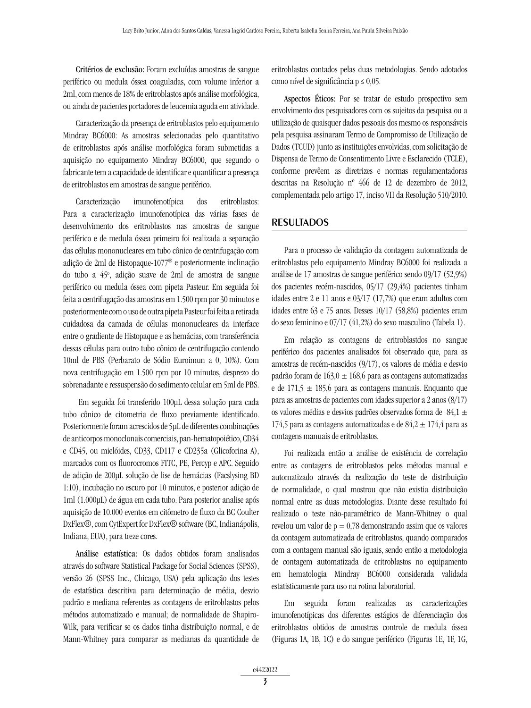Critérios de exclusão: Foram excluídas amostras de sangue periférico ou medula óssea coaguladas, com volume inferior a 2ml, com menos de 18% de eritroblastos após análise morfológica, ou ainda de pacientes portadores de leucemia aguda em atividade.

Caracterização da presença de eritroblastos pelo equipamento Mindray BC6000: As amostras selecionadas pelo quantitativo de eritroblastos após análise morfológica foram submetidas a aquisição no equipamento Mindray BC6000, que segundo o fabricante tem a capacidade de identificar e quantificar a presença de eritroblastos em amostras de sangue periférico.

Caracterização imunofenotípica dos eritroblastos: Para a caracterização imunofenotípica das várias fases de desenvolvimento dos eritroblastos nas amostras de sangue periférico e de medula óssea primeiro foi realizada a separação das células mononucleares em tubo cônico de centrifugação com adição de 2ml de Histopaque-1077® e posteriormente inclinação do tubo a 45°, adição suave de 2ml de amostra de sangue periférico ou medula óssea com pipeta Pasteur. Em seguida foi feita a centrifugação das amostras em 1.500 rpm por 30 minutos e posteriormente com o uso de outra pipeta Pasteur foi feita a retirada cuidadosa da camada de células mononucleares da interface entre o gradiente de Histopaque e as hemácias, com transferência dessas células para outro tubo cônico de centrifugação contendo 10ml de PBS (Perbarato de Sódio Euroimun a 0, 10%). Com nova centrifugação em 1.500 rpm por 10 minutos, desprezo do sobrenadante e ressuspensão do sedimento celular em 5ml de PBS.

 Em seguida foi transferido 100µL dessa solução para cada tubo cônico de citometria de fluxo previamente identificado. Posteriormente foram acrescidos de 5µL de diferentes combinações de anticorpos monoclonais comerciais, pan-hematopoiético, CD34 e CD45, ou mielóides, CD33, CD117 e CD235a (Glicoforina A), marcados com os fluorocromos FITC, PE, Percyp e APC. Seguido de adição de 200µL solução de lise de hemácias (Facslysing BD 1:10), incubação no escuro por 10 minutos, e posterior adição de 1ml (1.000µL) de água em cada tubo. Para posterior analise após aquisição de 10.000 eventos em citômetro de fluxo da BC Coulter DxFlex®, com CytExpert for DxFlex® software (BC, Indianápolis, Indiana, EUA), para treze cores.

Análise estatística: Os dados obtidos foram analisados através do software Statistical Package for Social Sciences (SPSS), versão 26 (SPSS Inc., Chicago, USA) pela aplicação dos testes de estatística descritiva para determinação de média, desvio padrão e mediana referentes as contagens de eritroblastos pelos métodos automatizado e manual; de normalidade de Shapiro-Wilk, para verificar se os dados tinha distribuição normal, e de Mann-Whitney para comparar as medianas da quantidade de eritroblastos contados pelas duas metodologias. Sendo adotados como nível de significância p ≤ 0,05.

Aspectos Éticos: Por se tratar de estudo prospectivo sem envolvimento dos pesquisadores com os sujeitos da pesquisa ou a utilização de quaisquer dados pessoais dos mesmo os responsáveis pela pesquisa assinaram Termo de Compromisso de Utilização de Dados (TCUD) junto as instituições envolvidas, com solicitação de Dispensa de Termo de Consentimento Livre e Esclarecido (TCLE), conforme prevêem as diretrizes e normas regulamentadoras descritas na Resolução nº 466 de 12 de dezembro de 2012, complementada pelo artigo 17, inciso VII da Resolução 510/2010.

## **RESULTADOS**

Para o processo de validação da contagem automatizada de eritroblastos pelo equipamento Mindray BC6000 foi realizada a análise de 17 amostras de sangue periférico sendo 09/17 (52,9%) dos pacientes recém-nascidos, 05/17 (29,4%) pacientes tinham idades entre 2 e 11 anos e 03/17 (17,7%) que eram adultos com idades entre 63 e 75 anos. Desses 10/17 (58,8%) pacientes eram do sexo feminino e 07/17 (41,2%) do sexo masculino (Tabela 1).

Em relação as contagens de eritroblastdos no sangue periférico dos pacientes analisados foi observado que, para as amostras de recém-nascidos (9/17), os valores de média e desvio padrão foram de 163,0  $\pm$  168,6 para as contagens automatizadas e de 171,5  $\pm$  185,6 para as contagens manuais. Enquanto que para as amostras de pacientes com idades superior a 2 anos (8/17) os valores médias e desvios padrões observados forma de 84,1 $\pm$ 174,5 para as contagens automatizadas e de  $84.2 \pm 174.4$  para as contagens manuais de eritroblastos.

Foi realizada então a análise de existência de correlação entre as contagens de eritroblastos pelos métodos manual e automatizado através da realização do teste de distribuição de normalidade, o qual mostrou que não existia distribuição normal entre as duas metodologias. Diante desse resultado foi realizado o teste não-paramétrico de Mann-Whitney o qual revelou um valor de  $p = 0.78$  demonstrando assim que os valores da contagem automatizada de eritroblastos, quando comparados com a contagem manual são iguais, sendo então a metodologia de contagem automatizada de eritroblastos no equipamento em hematologia Mindray BC6000 considerada validada estatisticamente para uso na rotina laboratorial.

Em seguida foram realizadas as caracterizações imunofenotípicas dos diferentes estágios de diferenciação dos eritroblastos obtidos de amostras controle de medula óssea (Figuras 1A, 1B, 1C) e do sangue periférico (Figuras 1E, 1F, 1G,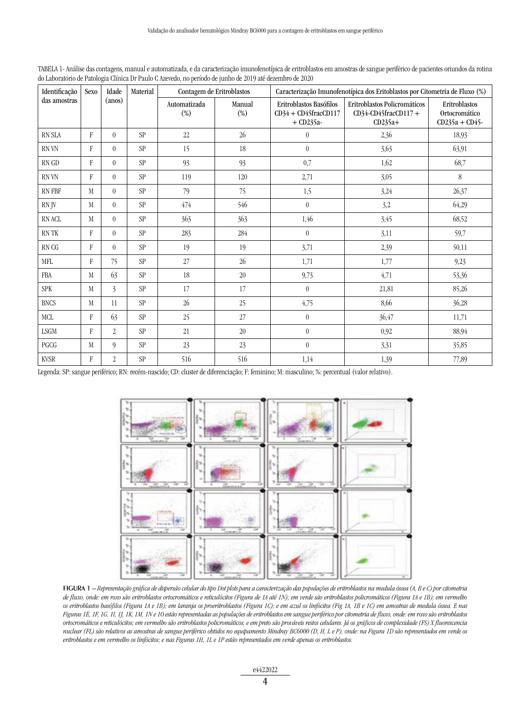| Identificação | <b>Sexo</b> | Idade            | Material   | Contagem de Eritroblastos |                  | Caracterização Imunofenotípica dos Eritoblastos por Citometria de Fluxo (%) |                                                                  |                                                     |  |
|---------------|-------------|------------------|------------|---------------------------|------------------|-----------------------------------------------------------------------------|------------------------------------------------------------------|-----------------------------------------------------|--|
| das amostras  |             | (anos)           |            | Automatizada<br>$(\%)$    | Manual<br>$(\%)$ | Eritroblastos Basófilos<br>$CD34 + CD45$ frac $CD117$<br>$+$ CD235a-        | Eritroblastos Policromáticos<br>CD34-CD45fracCD117+<br>$CD235a+$ | Eritroblastos<br>Ortocromático<br>$CD235a + CD45$ - |  |
| <b>RN SLA</b> | F           | $\theta$         | <b>SP</b>  | 22                        | 26               | $\boldsymbol{0}$                                                            | 2,36                                                             | 18,93                                               |  |
| RN VN         | F           | $\theta$         | <b>SP</b>  | 15                        | 18               | $\boldsymbol{0}$                                                            | 3,63                                                             | 63,91                                               |  |
| RN GD         | F           | $\theta$         | SP         | 93                        | 93               | 0,7                                                                         | 1,62                                                             | 68,7                                                |  |
| RN VN         | F           | $\theta$         | SP         | 119                       | 120              | 2,71                                                                        | 3,05                                                             | 8                                                   |  |
| <b>RN FBF</b> | M           | $\theta$         | SP         | 79                        | 75               | 1,5                                                                         | 3,24                                                             | 26,37                                               |  |
| RN JV         | M           | $\mathbf{0}$     | SP         | 474                       | 546              | $\boldsymbol{0}$                                                            | 3,2                                                              | 64,29                                               |  |
| RN ACL        | M           | $\theta$         | SP         | 363                       | 363              | 1,46                                                                        | 3,45                                                             | 68,52                                               |  |
| RN TK         | F           | $\theta$         | SP         | 283                       | 284              | $\boldsymbol{0}$                                                            | 3,11                                                             | 59,7                                                |  |
| RN CG         | F           | $\theta$         | <b>SP</b>  | 19                        | 19               | 3,71                                                                        | 2,39                                                             | 50,11                                               |  |
| <b>MFL</b>    | F           | 75               | <b>SP</b>  | 27                        | 26               | 1,71                                                                        | 1,77                                                             | 9,23                                                |  |
| <b>FBA</b>    | M           | 63               | <b>SP</b>  | 18                        | $20\,$           | 9,73                                                                        | 4,71                                                             | 53,36                                               |  |
| <b>SPK</b>    | M           | $\overline{3}$   | SP         | 17                        | 17               | $\theta$                                                                    | 21,81                                                            | 85,26                                               |  |
| <b>BNCS</b>   | M           | 11               | <b>SP</b>  | 26                        | 25               | 4,75                                                                        | 8,66                                                             | 36,28                                               |  |
| MCL           | F           | 63               | SP         | 25                        | 27               | $\boldsymbol{0}$                                                            | 36,47                                                            | 11,71                                               |  |
| LSGM          | F           | $\overline{2}$   | SP         | 21                        | 20               | $\boldsymbol{0}$                                                            | 0,92                                                             | 88,94                                               |  |
| PGCG          | M           | $\overline{9}$   | SP         | 23                        | 23               | $\boldsymbol{0}$                                                            | 3,31                                                             | 35,85                                               |  |
| <b>KVSR</b>   | F           | $\boldsymbol{2}$ | ${\rm SP}$ | 516                       | 516              | 1,14                                                                        | 1,39                                                             | 77,89                                               |  |

TABELA 1- Análise das contagens, manual e automatizada, e da caracterização imunofenotípica de eritroblastos em amostras de sangue periférico de pacientes oriundos da rotina do Laboratório de Patologia Clínica Dr Paulo C Azevedo, no período de junho de 2019 até dezembro de 2020

Legenda: SP: sangue periférico; RN: recém-nascido; CD: cluster de diferenciação; F: feminino; M: masculino; %: percentual (valor relativo).



figurA 1 – *Representação gráfica de dispersão celular do tipo Dot plots para a caracterização das populações de eritroblastos na medula óssea (A, B e C) por citometria de fluxo, onde: em roxo são eritroblastos ortocromáticos e reticulócitos (Figura de 1A até 1N); em verde são eritroblastos policromáticos (Figura 1A e 1B); em vermelho os eritroblastos basófilos (Figura 1A e 1B); em laranja os proeritroblastos (Figura 1C); e em azul os linfócitos (Fig 1A, 1B e 1C) em amostras de medula óssea. E nas Figuras 1E, 1F, 1G, 1I, 1J, 1K, 1M, 1N e 1O estão representadas as populações de eritroblastos em sangue periférico por citometria de fluxo, onde: em roxo são eritroblastos ortocromáticos e reticulócitos; em vermelho são eritroblastos policromáticos; e em preto são prováveis restos celulares. Já os gráficos de complexidade (FS) X fluorescencia nuclear (FL) são relativos as amostras de sangue periférico obtidos no equipamento Mindray BC6000 (D, H, L e P), onde: na Figura 1D são representados em verde os eritroblastos e em vermelho os linfócitos; e nas Figuras 1H, 1L e 1P estão representados em verde apenas os eritroblastos.*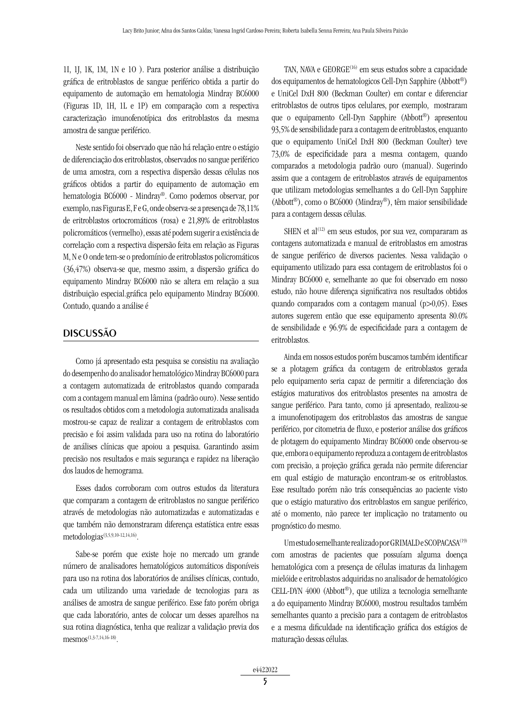1I, 1J, 1K, 1M, 1N e 1O ). Para posterior análise a distribuição gráfica de eritroblastos de sangue periférico obtida a partir do equipamento de automação em hematologia Mindray BC6000 (Figuras 1D, 1H, 1L e 1P) em comparação com a respectiva caracterização imunofenotípica dos eritroblastos da mesma amostra de sangue periférico.

Neste sentido foi observado que não há relação entre o estágio de diferenciação dos eritroblastos, observados no sangue periférico de uma amostra, com a respectiva dispersão dessas células nos gráficos obtidos a partir do equipamento de automação em hematologia BC6000 - Mindray®. Como podemos observar, por exemplo, nas Figuras E, F e G, onde observa-se a presença de 78,11% de eritroblastos ortocromáticos (rosa) e 21,89% de eritroblastos policromáticos (vermelho), essas até podem sugerir a existência de correlação com a respectiva dispersão feita em relação as Figuras M, N e O onde tem-se o predomínio de eritroblastos policromáticos (36,47%) observa-se que, mesmo assim, a dispersão gráfica do equipamento Mindray BC6000 não se altera em relação a sua distribuição especial.gráfica pelo equipamento Mindray BC6000. Contudo, quando a análise é

## **DISCUSSÃO**

Como já apresentado esta pesquisa se consistiu na avaliação do desempenho do analisador hematológico Mindray BC6000 para a contagem automatizada de eritroblastos quando comparada com a contagem manual em lâmina (padrão ouro). Nesse sentido os resultados obtidos com a metodologia automatizada analisada mostrou-se capaz de realizar a contagem de eritroblastos com precisão e foi assim validada para uso na rotina do laboratório de análises clínicas que apoiou a pesquisa. Garantindo assim precisão nos resultados e mais segurança e rapidez na liberação dos laudos de hemograma.

Esses dados corroboram com outros estudos da literatura que comparam a contagem de eritroblastos no sangue periférico através de metodologias não automatizadas e automatizadas e que também não demonstraram diferença estatística entre essas metodologias<sup>(3,5,9,10-12,14,16)</sup>.

Sabe-se porém que existe hoje no mercado um grande número de analisadores hematológicos automáticos disponíveis para uso na rotina dos laboratórios de análises clínicas, contudo, cada um utilizando uma variedade de tecnologias para as análises de amostra de sangue periférico. Esse fato porém obriga que cada laboratório, antes de colocar um desses aparelhos na sua rotina diagnóstica, tenha que realizar a validação previa dos  $\text{mesmos}^{(1,3\text{-}7,14,16\text{-}18)}$ 

TAN, NAVA e GEORGE<sup>(16)</sup> em seus estudos sobre a capacidade dos equipamentos de hematologicos Cell-Dyn Sapphire (Abbott®) e UniCel DxH 800 (Beckman Coulter) em contar e diferenciar eritroblastos de outros tipos celulares, por exemplo, mostraram que o equipamento Cell-Dyn Sapphire (Abbott®) apresentou 93,5% de sensibilidade para a contagem de eritroblastos, enquanto que o equipamento UniCel DxH 800 (Beckman Coulter) teve 73,0% de especificidade para a mesma contagem, quando comparados a metodologia padrão ouro (manual). Sugerindo assim que a contagem de eritroblastos através de equipamentos que utilizam metodologias semelhantes a do Cell-Dyn Sapphire (Abbott®), como o BC6000 (Mindray®), têm maior sensibilidade para a contagem dessas células.

SHEN et al $(12)$  em seus estudos, por sua vez, compararam as contagens automatizada e manual de eritroblastos em amostras de sangue periférico de diversos pacientes. Nessa validação o equipamento utilizado para essa contagem de eritroblastos foi o Mindray BC6000 e, semelhante ao que foi observado em nosso estudo, não houve diferença significativa nos resultados obtidos quando comparados com a contagem manual (p>0,05). Esses autores sugerem então que esse equipamento apresenta 80.0% de sensibilidade e 96.9% de especificidade para a contagem de eritroblastos.

Ainda em nossos estudos porém buscamos também identificar se a plotagem gráfica da contagem de eritroblastos gerada pelo equipamento seria capaz de permitir a diferenciação dos estágios maturativos dos eritroblastos presentes na amostra de sangue periférico. Para tanto, como já apresentado, realizou-se a imunofenotipagem dos eritroblastos das amostras de sangue periférico, por citometria de fluxo, e posterior análise dos gráficos de plotagem do equipamento Mindray BC6000 onde observou-se que, embora o equipamento reproduza a contagem de eritroblastos com precisão, a projeção gráfica gerada não permite diferenciar em qual estágio de maturação encontram-se os eritroblastos. Esse resultado porém não trás consequências ao paciente visto que o estágio maturativo dos eritroblastos em sangue periférico, até o momento, não parece ter implicação no tratamento ou prognóstico do mesmo.

Um estudo semelhante realizado por GRIMALD e SCOPACASA<sup>(19)</sup> com amostras de pacientes que possuíam alguma doença hematológica com a presença de células imaturas da linhagem mielóide e eritroblastos adquiridas no analisador de hematológico CELL-DYN 4000 (Abbott®), que utiliza a tecnologia semelhante a do equipamento Mindray BC6000, mostrou resultados também semelhantes quanto a precisão para a contagem de eritroblastos e a mesma dificuldade na identificação gráfica dos estágios de maturação dessas células.